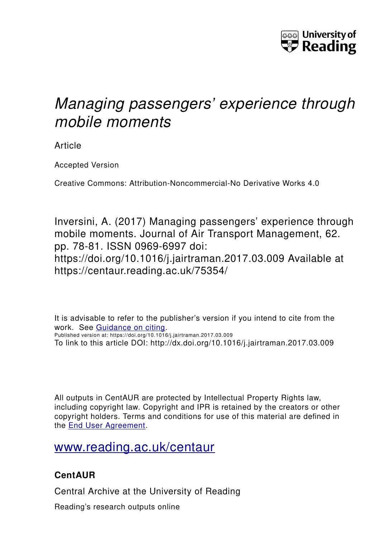

# *Managing passengers' experience through mobile moments*

Article

Accepted Version

Creative Commons: Attribution-Noncommercial-No Derivative Works 4.0

Inversini, A. (2017) Managing passengers' experience through mobile moments. Journal of Air Transport Management, 62. pp. 78-81. ISSN 0969-6997 doi: https://doi.org/10.1016/j.jairtraman.2017.03.009 Available at https://centaur.reading.ac.uk/75354/

It is advisable to refer to the publisher's version if you intend to cite from the work. See [Guidance on citing.](http://centaur.reading.ac.uk/71187/10/CentAUR%20citing%20guide.pdf) Published version at: https://doi.org/10.1016/j.jairtraman.2017.03.009 To link to this article DOI: http://dx.doi.org/10.1016/j.jairtraman.2017.03.009

All outputs in CentAUR are protected by Intellectual Property Rights law, including copyright law. Copyright and IPR is retained by the creators or other copyright holders. Terms and conditions for use of this material are defined in the [End User Agreement.](http://centaur.reading.ac.uk/licence)

[www.reading.ac.uk/centaur](http://www.reading.ac.uk/centaur)

## **CentAUR**

Central Archive at the University of Reading

Reading's research outputs online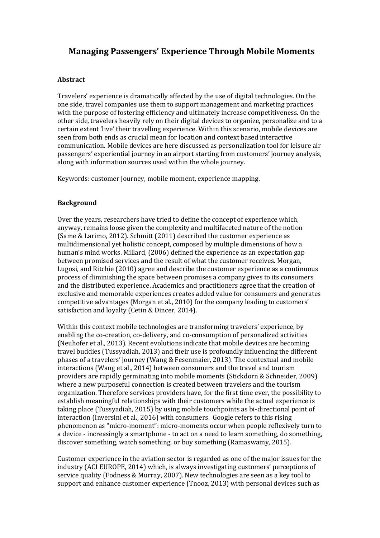### **Managing Passengers' Experience Through Mobile Moments**

#### **Abstract**

Travelers' experience is dramatically affected by the use of digital technologies. On the one side, travel companies use them to support management and marketing practices with the purpose of fostering efficiency and ultimately increase competitiveness. On the other side, travelers heavily rely on their digital devices to organize, personalize and to a certain extent 'live' their travelling experience. Within this scenario, mobile devices are seen from both ends as crucial mean for location and context based interactive communication. Mobile devices are here discussed as personalization tool for leisure air passengers' experiential journey in an airport starting from customers' journey analysis, along with information sources used within the whole journey.

Keywords: customer journey, mobile moment, experience mapping.

#### **Background**

Over the years, researchers have tried to define the concept of experience which, anyway, remains loose given the complexity and multifaceted nature of the notion (Same & Larimo, 2012). Schmitt (2011) described the customer experience as multidimensional yet holistic concept, composed by multiple dimensions of how a human's mind works. Millard, (2006) defined the experience as an expectation gap between promised services and the result of what the customer receives. Morgan, Lugosi, and Ritchie (2010) agree and describe the customer experience as a continuous process of diminishing the space between promises a company gives to its consumers and the distributed experience. Academics and practitioners agree that the creation of exclusive and memorable experiences creates added value for consumers and generates competitive advantages (Morgan et al., 2010) for the company leading to customers' satisfaction and loyalty (Cetin & Dincer, 2014).

Within this context mobile technologies are transforming travelers' experience, by enabling the co-creation, co-delivery, and co-consumption of personalized activities (Neuhofer et al., 2013). Recent evolutions indicate that mobile devices are becoming travel buddies (Tussyadiah, 2013) and their use is profoundly influencing the different phases of a travelers' journey (Wang & Fesenmaier, 2013). The contextual and mobile interactions (Wang et al., 2014) between consumers and the travel and tourism providers are rapidly germinating into mobile moments (Stickdorn & Schneider, 2009) where a new purposeful connection is created between travelers and the tourism organization. Therefore services providers have, for the first time ever, the possibility to establish meaningful relationships with their customers while the actual experience is taking place (Tussyadiah, 2015) by using mobile touchpoints as bi-directional point of interaction (Inversini et al., 2016) with consumers. Google refers to this rising phenomenon as "micro-moment": micro-moments occur when people reflexively turn to a device - increasingly a smartphone - to act on a need to learn something, do something, discover something, watch something, or buy something (Ramaswamy, 2015).

Customer experience in the aviation sector is regarded as one of the major issues for the industry (ACI EUROPE, 2014) which, is always investigating customers' perceptions of service quality (Fodness & Murray, 2007). New technologies are seen as a key tool to support and enhance customer experience (Tnooz, 2013) with personal devices such as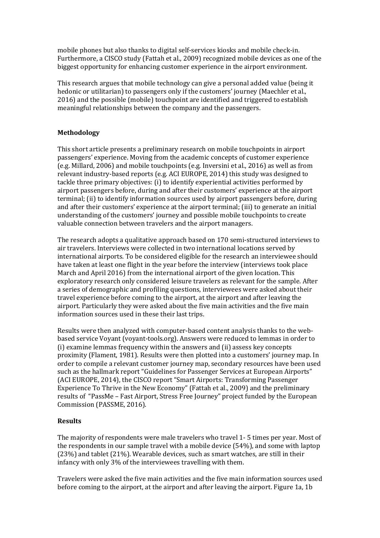mobile phones but also thanks to digital self-services kiosks and mobile check-in. Furthermore, a CISCO study (Fattah et al., 2009) recognized mobile devices as one of the biggest opportunity for enhancing customer experience in the airport environment.

This research argues that mobile technology can give a personal added value (being it hedonic or utilitarian) to passengers only if the customers' journey (Maechler et al., 2016) and the possible (mobile) touchpoint are identified and triggered to establish meaningful relationships between the company and the passengers.

#### **Methodology**

This short article presents a preliminary research on mobile touchpoints in airport passengers' experience. Moving from the academic concepts of customer experience (e.g. Millard, 2006) and mobile touchpoints (e.g. Inversini et al., 2016) as well as from relevant industry-based reports (e.g. ACI EUROPE, 2014) this study was designed to tackle three primary objectives: (i) to identify experiential activities performed by airport passengers before, during and after their customers' experience at the airport terminal; (ii) to identify information sources used by airport passengers before, during and after their customers' experience at the airport terminal; (iii) to generate an initial understanding of the customers' journey and possible mobile touchpoints to create valuable connection between travelers and the airport managers.

The research adopts a qualitative approach based on 170 semi-structured interviews to air travelers. Interviews were collected in two international locations served by international airports. To be considered eligible for the research an interviewee should have taken at least one flight in the year before the interview (interviews took place March and April 2016) from the international airport of the given location. This exploratory research only considered leisure travelers as relevant for the sample. After a series of demographic and profiling questions, interviewees were asked about their travel experience before coming to the airport, at the airport and after leaving the airport. Particularly they were asked about the five main activities and the five main information sources used in these their last trips.

Results were then analyzed with computer-based content analysis thanks to the webbased service Voyant (voyant-tools.org). Answers were reduced to lemmas in order to (i) examine lemmas frequency within the answers and (ii) assess key concepts proximity (Flament, 1981). Results were then plotted into a customers' journey map. In order to compile a relevant customer journey map, secondary resources have been used such as the hallmark report "Guidelines for Passenger Services at European Airports" (ACI EUROPE, 2014), the CISCO report "Smart Airports: Transforming Passenger Experience To Thrive in the New Economy" (Fattah et al., 2009) and the preliminary results of "PassMe – Fast Airport, Stress Free Journey" project funded by the European Commission (PASSME, 2016).

#### **Results**

The majority of respondents were male travelers who travel 1- 5 times per year. Most of the respondents in our sample travel with a mobile device (54%), and some with laptop (23%) and tablet (21%). Wearable devices, such as smart watches, are still in their infancy with only 3% of the interviewees travelling with them.

Travelers were asked the five main activities and the five main information sources used before coming to the airport, at the airport and after leaving the airport. Figure 1a, 1b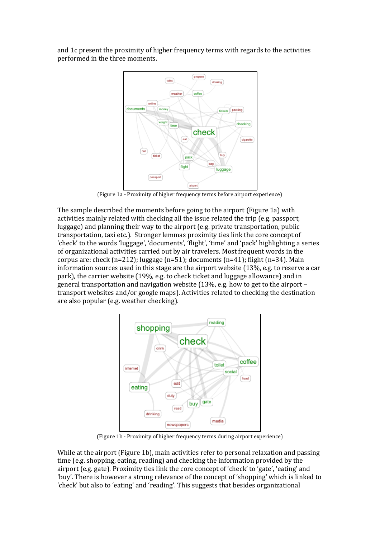and 1c present the proximity of higher frequency terms with regards to the activities performed in the three moments.



(Figure 1a - Proximity of higher frequency terms before airport experience)

The sample described the moments before going to the airport (Figure 1a) with activities mainly related with checking all the issue related the trip (e.g. passport, luggage) and planning their way to the airport (e.g. private transportation, public transportation, taxi etc.). Stronger lemmas proximity ties link the core concept of 'check' to the words 'luggage', 'documents', 'flight', 'time' and 'pack' highlighting a series of organizational activities carried out by air travelers. Most frequent words in the corpus are: check  $(n=212)$ ; luggage  $(n=51)$ ; documents  $(n=41)$ ; flight  $(n=34)$ . Main information sources used in this stage are the airport website (13%, e.g. to reserve a car park), the carrier website (19%, e.g. to check ticket and luggage allowance) and in general transportation and navigation website (13%, e.g. how to get to the airport – transport websites and/or google maps). Activities related to checking the destination are also popular (e.g. weather checking).



(Figure 1b - Proximity of higher frequency terms during airport experience)

While at the airport (Figure 1b), main activities refer to personal relaxation and passing time (e.g. shopping, eating, reading) and checking the information provided by the airport (e.g. gate). Proximity ties link the core concept of 'check' to 'gate', 'eating' and 'buy'. There is however a strong relevance of the concept of 'shopping' which is linked to 'check' but also to 'eating' and 'reading'. This suggests that besides organizational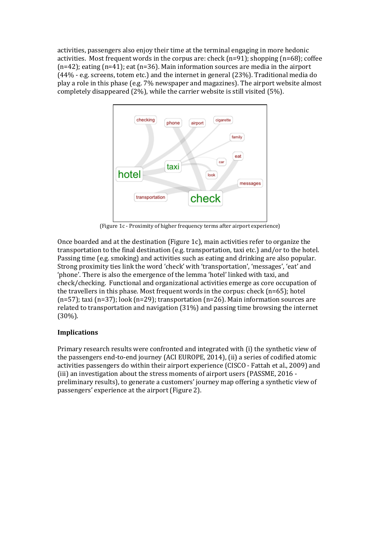activities, passengers also enjoy their time at the terminal engaging in more hedonic activities. Most frequent words in the corpus are: check ( $n=91$ ); shopping ( $n=68$ ); coffee (n=42); eating (n=41); eat (n=36). Main information sources are media in the airport (44% - e.g. screens, totem etc.) and the internet in general (23%). Traditional media do play a role in this phase (e.g. 7% newspaper and magazines). The airport website almost completely disappeared (2%), while the carrier website is still visited (5%).



(Figure 1c - Proximity of higher frequency terms after airport experience)

Once boarded and at the destination (Figure 1c), main activities refer to organize the transportation to the final destination (e.g. transportation, taxi etc.) and/or to the hotel. Passing time (e.g. smoking) and activities such as eating and drinking are also popular. Strong proximity ties link the word 'check' with 'transportation', 'messages', 'eat' and 'phone'. There is also the emergence of the lemma 'hotel' linked with taxi, and check/checking. Functional and organizational activities emerge as core occupation of the travellers in this phase. Most frequent words in the corpus: check  $(n=65)$ ; hotel (n=57); taxi (n=37); look (n=29); transportation (n=26). Main information sources are related to transportation and navigation (31%) and passing time browsing the internet (30%).

#### **Implications**

Primary research results were confronted and integrated with (i) the synthetic view of the passengers end-to-end journey (ACI EUROPE, 2014), (ii) a series of codified atomic activities passengers do within their airport experience (CISCO - Fattah et al., 2009) and (iii) an investigation about the stress moments of airport users (PASSME, 2016 preliminary results), to generate a customers' journey map offering a synthetic view of passengers' experience at the airport (Figure 2).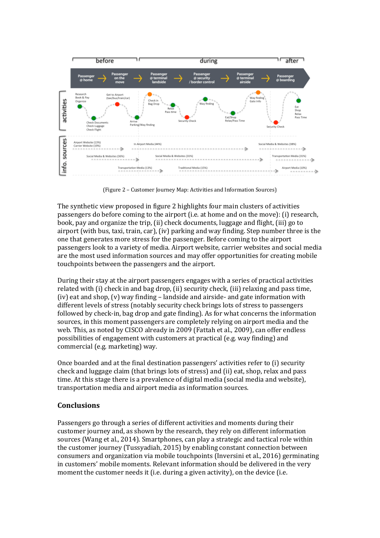

(Figure 2 – Customer Journey Map: Activities and Information Sources)

The synthetic view proposed in figure 2 highlights four main clusters of activities passengers do before coming to the airport (i.e. at home and on the move): (i) research, book, pay and organize the trip, (ii) check documents, luggage and flight, (iii) go to airport (with bus, taxi, train, car), (iv) parking and way finding. Step number three is the one that generates more stress for the passenger. Before coming to the airport passengers look to a variety of media. Airport website, carrier websites and social media are the most used information sources and may offer opportunities for creating mobile touchpoints between the passengers and the airport.

During their stay at the airport passengers engages with a series of practical activities related with (i) check in and bag drop, (ii) security check, (iii) relaxing and pass time, (iv) eat and shop, (v) way finding – landside and airside- and gate information with different levels of stress (notably security check brings lots of stress to passengers followed by check-in, bag drop and gate finding). As for what concerns the information sources, in this moment passengers are completely relying on airport media and the web. This, as noted by CISCO already in 2009 (Fattah et al., 2009), can offer endless possibilities of engagement with customers at practical (e.g. way finding) and commercial (e.g. marketing) way.

Once boarded and at the final destination passengers' activities refer to (i) security check and luggage claim (that brings lots of stress) and (ii) eat, shop, relax and pass time. At this stage there is a prevalence of digital media (social media and website), transportation media and airport media as information sources.

#### **Conclusions**

Passengers go through a series of different activities and moments during their customer journey and, as shown by the research, they rely on different information sources (Wang et al., 2014). Smartphones, can play a strategic and tactical role within the customer journey (Tussyadiah, 2015) by enabling constant connection between consumers and organization via mobile touchpoints (Inversini et al., 2016) germinating in customers' mobile moments. Relevant information should be delivered in the very moment the customer needs it (i.e. during a given activity), on the device (i.e.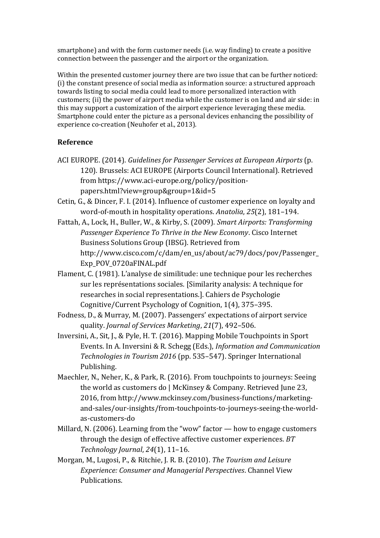smartphone) and with the form customer needs (i.e. way finding) to create a positive connection between the passenger and the airport or the organization.

Within the presented customer journey there are two issue that can be further noticed: (i) the constant presence of social media as information source: a structured approach towards listing to social media could lead to more personalized interaction with customers; (ii) the power of airport media while the customer is on land and air side: in this may support a customization of the airport experience leveraging these media. Smartphone could enter the picture as a personal devices enhancing the possibility of experience co-creation (Neuhofer et al., 2013).

#### **Reference**

- ACI EUROPE. (2014). *Guidelines for Passenger Services at European Airports* (p. 120). Brussels: ACI EUROPE (Airports Council International). Retrieved from https://www.aci-europe.org/policy/positionpapers.html?view=group&group=1&id=5
- Cetin, G., & Dincer, F. I. (2014). Influence of customer experience on loyalty and word-of-mouth in hospitality operations. *Anatolia*, *25*(2), 181–194.
- Fattah, A., Lock, H., Buller, W., & Kirby, S. (2009). *Smart Airports: Transforming Passenger Experience To Thrive in the New Economy*. Cisco Internet Business Solutions Group (IBSG). Retrieved from http://www.cisco.com/c/dam/en\_us/about/ac79/docs/pov/Passenger\_ Exp\_POV\_0720aFINAL.pdf
- Flament, C. (1981). L'analyse de similitude: une technique pour les recherches sur les représentations sociales. [Similarity analysis: A technique for researches in social representations.]. Cahiers de Psychologie Cognitive/Current Psychology of Cognition, 1(4), 375–395.
- Fodness, D., & Murray, M. (2007). Passengers' expectations of airport service quality. *Journal of Services Marketing*, *21*(7), 492–506.
- Inversini, A., Sit, J., & Pyle, H. T. (2016). Mapping Mobile Touchpoints in Sport Events. In A. Inversini & R. Schegg (Eds.), *Information and Communication Technologies in Tourism 2016* (pp. 535–547). Springer International Publishing.
- Maechler, N., Neher, K., & Park, R. (2016). From touchpoints to journeys: Seeing the world as customers do | McKinsey & Company. Retrieved June 23, 2016, from http://www.mckinsey.com/business-functions/marketingand-sales/our-insights/from-touchpoints-to-journeys-seeing-the-worldas-customers-do
- Millard, N. (2006). Learning from the "wow" factor how to engage customers through the design of effective affective customer experiences. *BT Technology Journal*, *24*(1), 11–16.
- Morgan, M., Lugosi, P., & Ritchie, J. R. B. (2010). *The Tourism and Leisure Experience: Consumer and Managerial Perspectives*. Channel View Publications.